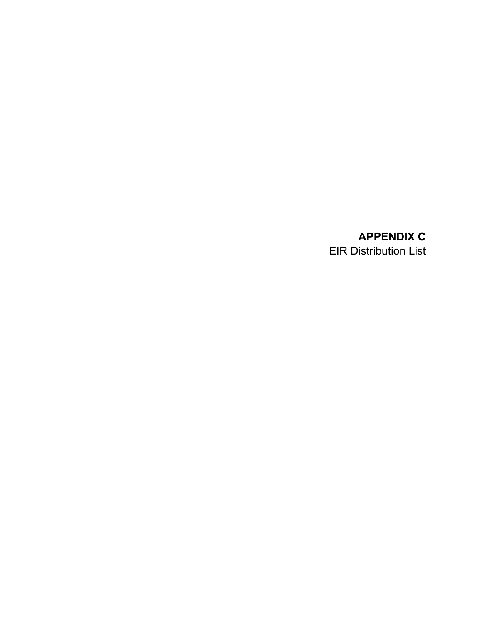## **APPENDIX C**

EIR Distribution List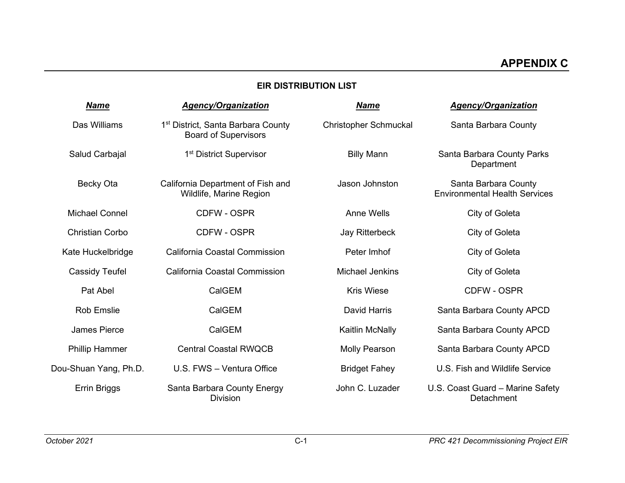## **EIR DISTRIBUTION LIST**

| <b>Name</b>            | <b>Agency/Organization</b>                                                    | <b>Name</b>                  | <b>Agency/Organization</b>                                   |
|------------------------|-------------------------------------------------------------------------------|------------------------------|--------------------------------------------------------------|
| Das Williams           | 1 <sup>st</sup> District, Santa Barbara County<br><b>Board of Supervisors</b> | <b>Christopher Schmuckal</b> | Santa Barbara County                                         |
| Salud Carbajal         | 1 <sup>st</sup> District Supervisor                                           | <b>Billy Mann</b>            | Santa Barbara County Parks<br>Department                     |
| Becky Ota              | California Department of Fish and<br>Wildlife, Marine Region                  | Jason Johnston               | Santa Barbara County<br><b>Environmental Health Services</b> |
| <b>Michael Connel</b>  | CDFW - OSPR                                                                   | <b>Anne Wells</b>            | City of Goleta                                               |
| <b>Christian Corbo</b> | <b>CDFW - OSPR</b>                                                            | Jay Ritterbeck               | City of Goleta                                               |
| Kate Huckelbridge      | California Coastal Commission                                                 | Peter Imhof                  | City of Goleta                                               |
| <b>Cassidy Teufel</b>  | California Coastal Commission                                                 | <b>Michael Jenkins</b>       | City of Goleta                                               |
| Pat Abel               | CalGEM                                                                        | <b>Kris Wiese</b>            | <b>CDFW - OSPR</b>                                           |
| <b>Rob Emslie</b>      | CalGEM                                                                        | <b>David Harris</b>          | Santa Barbara County APCD                                    |
| <b>James Pierce</b>    | CalGEM                                                                        | Kaitlin McNally              | Santa Barbara County APCD                                    |
| <b>Phillip Hammer</b>  | <b>Central Coastal RWQCB</b>                                                  | <b>Molly Pearson</b>         | Santa Barbara County APCD                                    |
| Dou-Shuan Yang, Ph.D.  | U.S. FWS - Ventura Office                                                     | <b>Bridget Fahey</b>         | U.S. Fish and Wildlife Service                               |
| Errin Briggs           | Santa Barbara County Energy<br><b>Division</b>                                | John C. Luzader              | U.S. Coast Guard - Marine Safety<br>Detachment               |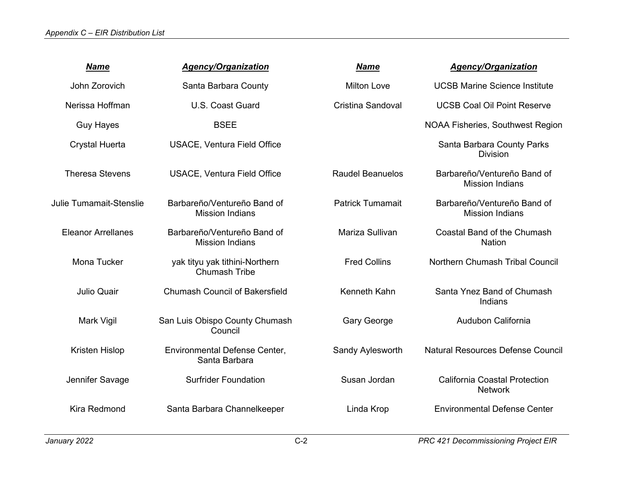## *Appendix C – EIR Distribution List*

| <b>Name</b>                    | <b>Agency/Organization</b>                             | <b>Name</b>             | <b>Agency/Organization</b>                             |
|--------------------------------|--------------------------------------------------------|-------------------------|--------------------------------------------------------|
| John Zorovich                  | Santa Barbara County                                   | <b>Milton Love</b>      | <b>UCSB Marine Science Institute</b>                   |
| Nerissa Hoffman                | U.S. Coast Guard                                       | Cristina Sandoval       | <b>UCSB Coal Oil Point Reserve</b>                     |
| <b>Guy Hayes</b>               | <b>BSEE</b>                                            |                         | <b>NOAA Fisheries, Southwest Region</b>                |
| <b>Crystal Huerta</b>          | <b>USACE, Ventura Field Office</b>                     |                         | Santa Barbara County Parks<br><b>Division</b>          |
| <b>Theresa Stevens</b>         | USACE, Ventura Field Office                            | <b>Raudel Beanuelos</b> | Barbareño/Ventureño Band of<br><b>Mission Indians</b>  |
| <b>Julie Tumamait-Stenslie</b> | Barbareño/Ventureño Band of<br><b>Mission Indians</b>  | <b>Patrick Tumamait</b> | Barbareño/Ventureño Band of<br><b>Mission Indians</b>  |
| <b>Eleanor Arrellanes</b>      | Barbareño/Ventureño Band of<br><b>Mission Indians</b>  | Mariza Sullivan         | Coastal Band of the Chumash<br><b>Nation</b>           |
| Mona Tucker                    | yak tityu yak tithini-Northern<br><b>Chumash Tribe</b> | <b>Fred Collins</b>     | Northern Chumash Tribal Council                        |
| <b>Julio Quair</b>             | <b>Chumash Council of Bakersfield</b>                  | Kenneth Kahn            | Santa Ynez Band of Chumash<br>Indians                  |
| Mark Vigil                     | San Luis Obispo County Chumash<br>Council              | <b>Gary George</b>      | Audubon California                                     |
| Kristen Hislop                 | Environmental Defense Center,<br>Santa Barbara         | Sandy Aylesworth        | <b>Natural Resources Defense Council</b>               |
| Jennifer Savage                | <b>Surfrider Foundation</b>                            | Susan Jordan            | <b>California Coastal Protection</b><br><b>Network</b> |
| Kira Redmond                   | Santa Barbara Channelkeeper                            | Linda Krop              | <b>Environmental Defense Center</b>                    |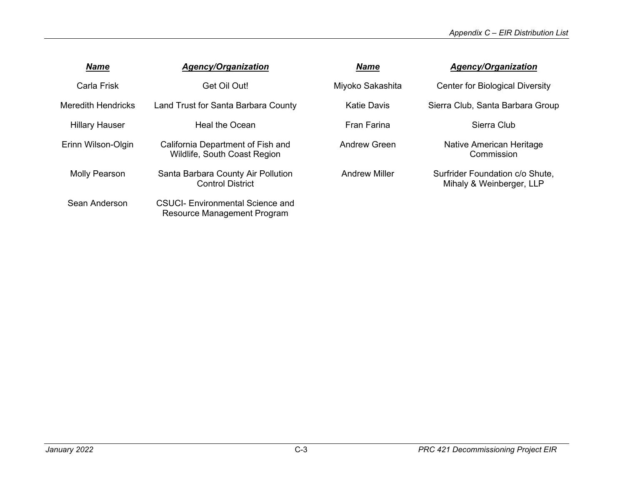| <b>Name</b>               | <b>Agency/Organization</b>                                             | <b>Name</b>          | <b>Agency/Organization</b>                                  |
|---------------------------|------------------------------------------------------------------------|----------------------|-------------------------------------------------------------|
| Carla Frisk               | Get Oil Out!                                                           | Miyoko Sakashita     | <b>Center for Biological Diversity</b>                      |
| <b>Meredith Hendricks</b> | Land Trust for Santa Barbara County                                    | Katie Davis          | Sierra Club, Santa Barbara Group                            |
| <b>Hillary Hauser</b>     | Heal the Ocean                                                         | <b>Fran Farina</b>   | Sierra Club                                                 |
| Erinn Wilson-Olgin        | California Department of Fish and<br>Wildlife, South Coast Region      | Andrew Green         | Native American Heritage<br>Commission                      |
| Molly Pearson             | Santa Barbara County Air Pollution<br><b>Control District</b>          | <b>Andrew Miller</b> | Surfrider Foundation c/o Shute,<br>Mihaly & Weinberger, LLP |
| Sean Anderson             | <b>CSUCI-</b> Environmental Science and<br>Resource Management Program |                      |                                                             |